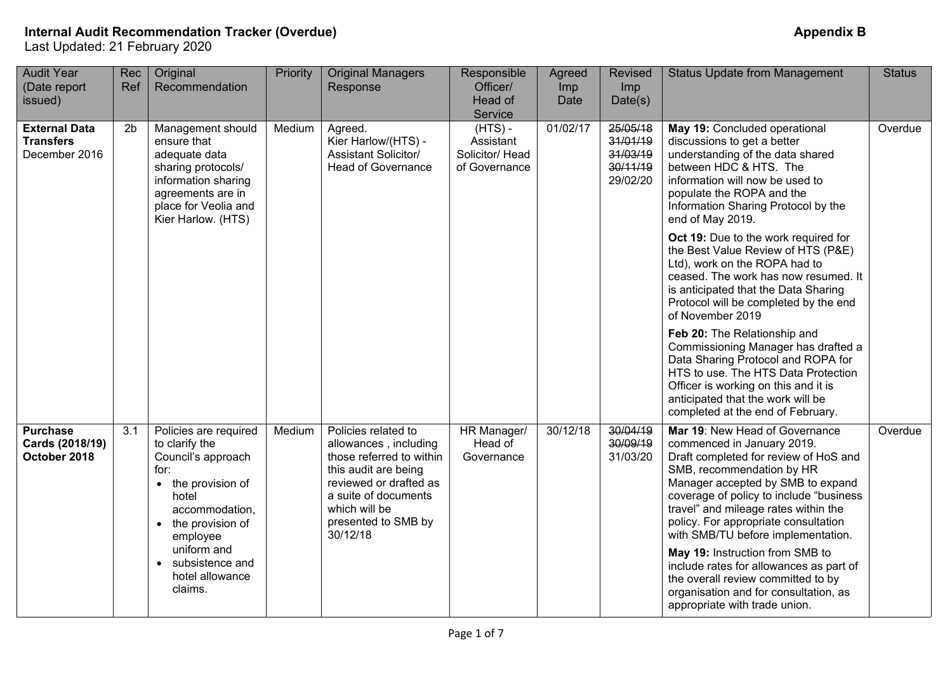| <b>Audit Year</b><br>(Date report<br>issued)              | Rec<br>Ref     | Original<br>Recommendation                                                                                                                                                     | Priority | <b>Original Managers</b><br>Response                                                                                                                                                                   | Responsible<br>Officer/<br>Head of<br>Service              | Agreed<br>Imp<br>Date | <b>Revised</b><br>Imp<br>Date(s)                         | <b>Status Update from Management</b>                                                                                                                                                                                                                                                                                                     | <b>Status</b> |
|-----------------------------------------------------------|----------------|--------------------------------------------------------------------------------------------------------------------------------------------------------------------------------|----------|--------------------------------------------------------------------------------------------------------------------------------------------------------------------------------------------------------|------------------------------------------------------------|-----------------------|----------------------------------------------------------|------------------------------------------------------------------------------------------------------------------------------------------------------------------------------------------------------------------------------------------------------------------------------------------------------------------------------------------|---------------|
| <b>External Data</b><br><b>Transfers</b><br>December 2016 | 2 <sub>b</sub> | Management should<br>ensure that<br>adequate data<br>sharing protocols/<br>information sharing<br>agreements are in<br>place for Veolia and<br>Kier Harlow. (HTS)              | Medium   | Agreed.<br>Kier Harlow/(HTS) -<br><b>Assistant Solicitor/</b><br><b>Head of Governance</b>                                                                                                             | $(HTS) -$<br>Assistant<br>Solicitor/ Head<br>of Governance | 01/02/17              | 25/05/18<br>31/01/19<br>31/03/19<br>30/11/19<br>29/02/20 | May 19: Concluded operational<br>discussions to get a better<br>understanding of the data shared<br>between HDC & HTS. The<br>information will now be used to<br>populate the ROPA and the<br>Information Sharing Protocol by the<br>end of May 2019.                                                                                    | Overdue       |
|                                                           |                |                                                                                                                                                                                |          |                                                                                                                                                                                                        |                                                            |                       |                                                          | Oct 19: Due to the work required for<br>the Best Value Review of HTS (P&E)<br>Ltd), work on the ROPA had to<br>ceased. The work has now resumed. It<br>is anticipated that the Data Sharing<br>Protocol will be completed by the end<br>of November 2019                                                                                 |               |
|                                                           |                |                                                                                                                                                                                |          |                                                                                                                                                                                                        |                                                            |                       |                                                          | Feb 20: The Relationship and<br>Commissioning Manager has drafted a<br>Data Sharing Protocol and ROPA for<br>HTS to use. The HTS Data Protection<br>Officer is working on this and it is<br>anticipated that the work will be<br>completed at the end of February.                                                                       |               |
| <b>Purchase</b><br>Cards (2018/19)<br>October 2018        | 3.1            | Policies are required<br>to clarify the<br>Council's approach<br>for:<br>the provision of<br>$\bullet$<br>hotel<br>accommodation,<br>the provision of<br>$\bullet$<br>employee | Medium   | Policies related to<br>allowances, including<br>those referred to within<br>this audit are being<br>reviewed or drafted as<br>a suite of documents<br>which will be<br>presented to SMB by<br>30/12/18 | HR Manager/<br>Head of<br>Governance                       | 30/12/18              | 30/04/19<br>30/09/19<br>31/03/20                         | Mar 19: New Head of Governance<br>commenced in January 2019.<br>Draft completed for review of HoS and<br>SMB, recommendation by HR<br>Manager accepted by SMB to expand<br>coverage of policy to include "business<br>travel" and mileage rates within the<br>policy. For appropriate consultation<br>with SMB/TU before implementation. | Overdue       |
|                                                           |                | uniform and<br>subsistence and<br>$\bullet$<br>hotel allowance<br>claims.                                                                                                      |          |                                                                                                                                                                                                        |                                                            |                       |                                                          | May 19: Instruction from SMB to<br>include rates for allowances as part of<br>the overall review committed to by<br>organisation and for consultation, as<br>appropriate with trade union.                                                                                                                                               |               |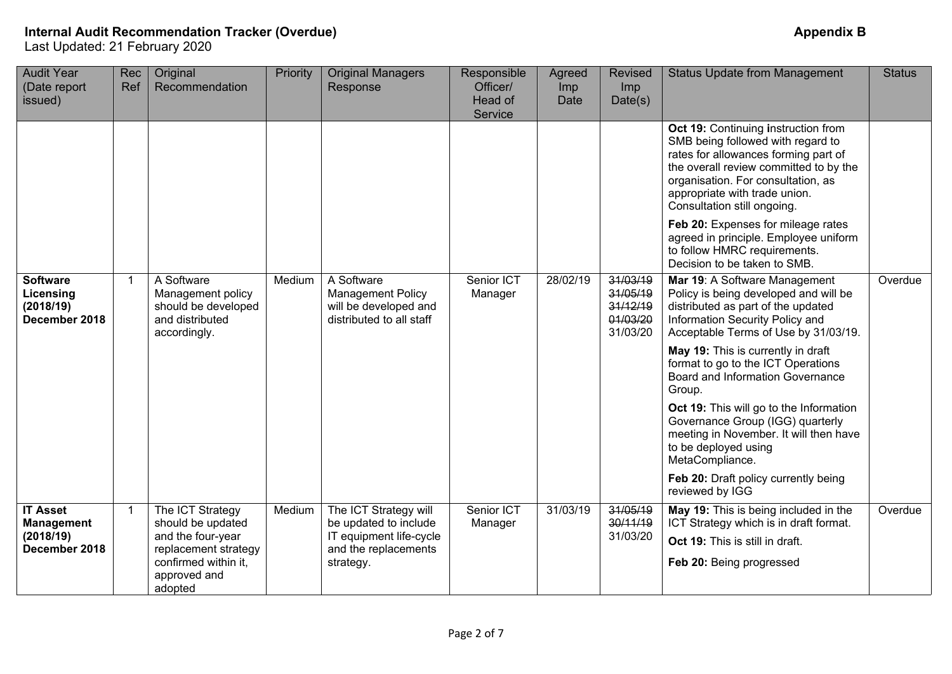| <b>Audit Year</b><br>(Date report<br>issued)                       | Rec<br>Ref   | Original<br>Recommendation                                                                                                            | Priority | <b>Original Managers</b><br>Response                                                                           | Responsible<br>Officer/<br>Head of<br>Service | Agreed<br>Imp<br>Date | <b>Revised</b><br>Imp<br>Date(s)                         | <b>Status Update from Management</b>                                                                                                                                                                                                                                                                                                                                                                                                                                                                                                             | <b>Status</b> |
|--------------------------------------------------------------------|--------------|---------------------------------------------------------------------------------------------------------------------------------------|----------|----------------------------------------------------------------------------------------------------------------|-----------------------------------------------|-----------------------|----------------------------------------------------------|--------------------------------------------------------------------------------------------------------------------------------------------------------------------------------------------------------------------------------------------------------------------------------------------------------------------------------------------------------------------------------------------------------------------------------------------------------------------------------------------------------------------------------------------------|---------------|
|                                                                    |              |                                                                                                                                       |          |                                                                                                                |                                               |                       |                                                          | Oct 19: Continuing instruction from<br>SMB being followed with regard to<br>rates for allowances forming part of<br>the overall review committed to by the<br>organisation. For consultation, as<br>appropriate with trade union.<br>Consultation still ongoing.<br>Feb 20: Expenses for mileage rates<br>agreed in principle. Employee uniform<br>to follow HMRC requirements.<br>Decision to be taken to SMB.                                                                                                                                  |               |
| <b>Software</b><br>Licensing<br>(2018/19)<br>December 2018         | $\mathbf{1}$ | A Software<br>Management policy<br>should be developed<br>and distributed<br>accordingly.                                             | Medium   | A Software<br><b>Management Policy</b><br>will be developed and<br>distributed to all staff                    | Senior ICT<br>Manager                         | 28/02/19              | 31/03/19<br>31/05/19<br>31/12/19<br>01/03/20<br>31/03/20 | Mar 19: A Software Management<br>Policy is being developed and will be<br>distributed as part of the updated<br>Information Security Policy and<br>Acceptable Terms of Use by 31/03/19.<br>May 19: This is currently in draft<br>format to go to the ICT Operations<br>Board and Information Governance<br>Group.<br>Oct 19: This will go to the Information<br>Governance Group (IGG) quarterly<br>meeting in November. It will then have<br>to be deployed using<br>MetaCompliance.<br>Feb 20: Draft policy currently being<br>reviewed by IGG | Overdue       |
| <b>IT Asset</b><br><b>Management</b><br>(2018/19)<br>December 2018 | $\mathbf{1}$ | The ICT Strategy<br>should be updated<br>and the four-year<br>replacement strategy<br>confirmed within it,<br>approved and<br>adopted | Medium   | The ICT Strategy will<br>be updated to include<br>IT equipment life-cycle<br>and the replacements<br>strategy. | Senior ICT<br>Manager                         | 31/03/19              | 31/05/19<br>30/11/19<br>31/03/20                         | May 19: This is being included in the<br>ICT Strategy which is in draft format.<br>Oct 19: This is still in draft.<br>Feb 20: Being progressed                                                                                                                                                                                                                                                                                                                                                                                                   | Overdue       |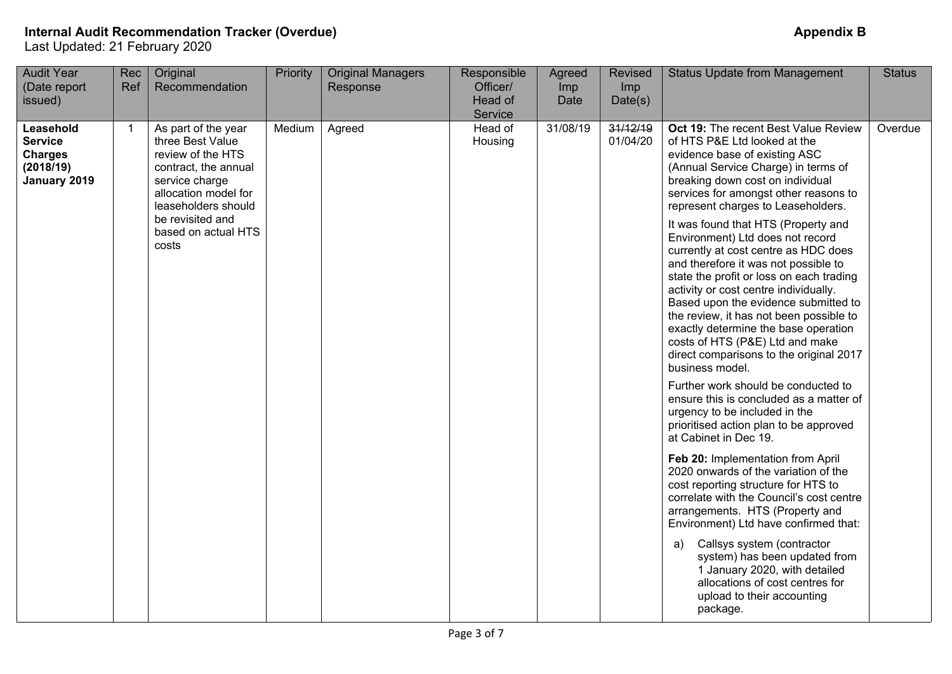| 31/08/19<br>31/12/19<br>Head of<br>Oct 19: The recent Best Value Review<br>Leasehold<br>As part of the year<br>Medium<br>Agreed<br>1<br><b>Service</b><br>three Best Value<br>01/04/20<br>of HTS P&E Ltd looked at the<br>Housing<br>review of the HTS<br>evidence base of existing ASC<br><b>Charges</b><br>(Annual Service Charge) in terms of<br>(2018/19)<br>contract, the annual<br>breaking down cost on individual<br>January 2019<br>service charge<br>services for amongst other reasons to<br>allocation model for<br>represent charges to Leaseholders.<br>leaseholders should                                                                                                                                                                                                                                                                                                                                                                                                                                                                                              | <b>Audit Year</b><br>(Date report<br>issued) | Rec<br>Ref | Original<br>Recommendation | Priority | <b>Original Managers</b><br>Response | Responsible<br>Officer/<br>Head of<br>Service | Agreed<br>Imp<br>Date | Revised<br>Imp<br>Date(s) | <b>Status Update from Management</b> | <b>Status</b> |
|----------------------------------------------------------------------------------------------------------------------------------------------------------------------------------------------------------------------------------------------------------------------------------------------------------------------------------------------------------------------------------------------------------------------------------------------------------------------------------------------------------------------------------------------------------------------------------------------------------------------------------------------------------------------------------------------------------------------------------------------------------------------------------------------------------------------------------------------------------------------------------------------------------------------------------------------------------------------------------------------------------------------------------------------------------------------------------------|----------------------------------------------|------------|----------------------------|----------|--------------------------------------|-----------------------------------------------|-----------------------|---------------------------|--------------------------------------|---------------|
| based on actual HTS<br>Environment) Ltd does not record<br>costs<br>currently at cost centre as HDC does<br>and therefore it was not possible to<br>state the profit or loss on each trading<br>activity or cost centre individually.<br>Based upon the evidence submitted to<br>the review, it has not been possible to<br>exactly determine the base operation<br>costs of HTS (P&E) Ltd and make<br>direct comparisons to the original 2017<br>business model.<br>Further work should be conducted to<br>ensure this is concluded as a matter of<br>urgency to be included in the<br>prioritised action plan to be approved<br>at Cabinet in Dec 19.<br>Feb 20: Implementation from April<br>2020 onwards of the variation of the<br>cost reporting structure for HTS to<br>correlate with the Council's cost centre<br>arrangements. HTS (Property and<br>Environment) Ltd have confirmed that:<br>Callsys system (contractor<br>a)<br>system) has been updated from<br>1 January 2020, with detailed<br>allocations of cost centres for<br>upload to their accounting<br>package. |                                              |            | be revisited and           |          |                                      |                                               |                       |                           | It was found that HTS (Property and  | Overdue       |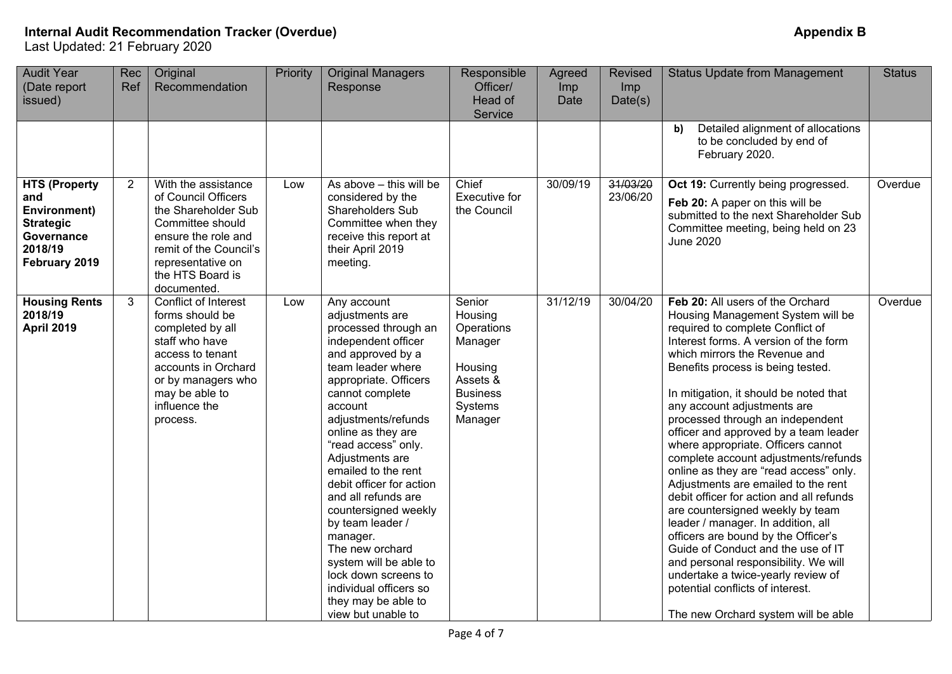| <b>Audit Year</b><br>(Date report<br>issued)                                                                     | Rec<br>Ref     | Original<br>Recommendation                                                                                                                                                                     | Priority | <b>Original Managers</b><br>Response                                                                                                                                                                                                                                                                                                                                                                                                                                                                                                                | Responsible<br>Officer/<br>Head of<br>Service                                                              | Agreed<br>Imp<br>Date | <b>Revised</b><br>Imp<br>Date(s) | <b>Status Update from Management</b>                                                                                                                                                                                                                                                                                                                                                                                                                                                                                                                                                                                                                                                                                                                                                                                                                                                                      | <b>Status</b> |
|------------------------------------------------------------------------------------------------------------------|----------------|------------------------------------------------------------------------------------------------------------------------------------------------------------------------------------------------|----------|-----------------------------------------------------------------------------------------------------------------------------------------------------------------------------------------------------------------------------------------------------------------------------------------------------------------------------------------------------------------------------------------------------------------------------------------------------------------------------------------------------------------------------------------------------|------------------------------------------------------------------------------------------------------------|-----------------------|----------------------------------|-----------------------------------------------------------------------------------------------------------------------------------------------------------------------------------------------------------------------------------------------------------------------------------------------------------------------------------------------------------------------------------------------------------------------------------------------------------------------------------------------------------------------------------------------------------------------------------------------------------------------------------------------------------------------------------------------------------------------------------------------------------------------------------------------------------------------------------------------------------------------------------------------------------|---------------|
|                                                                                                                  |                |                                                                                                                                                                                                |          |                                                                                                                                                                                                                                                                                                                                                                                                                                                                                                                                                     |                                                                                                            |                       |                                  | Detailed alignment of allocations<br>b)<br>to be concluded by end of<br>February 2020.                                                                                                                                                                                                                                                                                                                                                                                                                                                                                                                                                                                                                                                                                                                                                                                                                    |               |
| <b>HTS (Property</b><br>and<br><b>Environment)</b><br><b>Strategic</b><br>Governance<br>2018/19<br>February 2019 | $\overline{2}$ | With the assistance<br>of Council Officers<br>the Shareholder Sub<br>Committee should<br>ensure the role and<br>remit of the Council's<br>representative on<br>the HTS Board is<br>documented. | Low      | As above - this will be<br>considered by the<br>Shareholders Sub<br>Committee when they<br>receive this report at<br>their April 2019<br>meeting.                                                                                                                                                                                                                                                                                                                                                                                                   | Chief<br><b>Executive for</b><br>the Council                                                               | 30/09/19              | 31/03/20<br>23/06/20             | Oct 19: Currently being progressed.<br>Feb 20: A paper on this will be<br>submitted to the next Shareholder Sub<br>Committee meeting, being held on 23<br><b>June 2020</b>                                                                                                                                                                                                                                                                                                                                                                                                                                                                                                                                                                                                                                                                                                                                | Overdue       |
| <b>Housing Rents</b><br>2018/19<br><b>April 2019</b>                                                             | 3              | Conflict of Interest<br>forms should be<br>completed by all<br>staff who have<br>access to tenant<br>accounts in Orchard<br>or by managers who<br>may be able to<br>influence the<br>process.  | Low      | Any account<br>adjustments are<br>processed through an<br>independent officer<br>and approved by a<br>team leader where<br>appropriate. Officers<br>cannot complete<br>account<br>adjustments/refunds<br>online as they are<br>"read access" only.<br>Adjustments are<br>emailed to the rent<br>debit officer for action<br>and all refunds are<br>countersigned weekly<br>by team leader /<br>manager.<br>The new orchard<br>system will be able to<br>lock down screens to<br>individual officers so<br>they may be able to<br>view but unable to | Senior<br>Housing<br>Operations<br>Manager<br>Housing<br>Assets &<br><b>Business</b><br>Systems<br>Manager | 31/12/19              | 30/04/20                         | Feb 20: All users of the Orchard<br>Housing Management System will be<br>required to complete Conflict of<br>Interest forms. A version of the form<br>which mirrors the Revenue and<br>Benefits process is being tested.<br>In mitigation, it should be noted that<br>any account adjustments are<br>processed through an independent<br>officer and approved by a team leader<br>where appropriate. Officers cannot<br>complete account adjustments/refunds<br>online as they are "read access" only.<br>Adjustments are emailed to the rent<br>debit officer for action and all refunds<br>are countersigned weekly by team<br>leader / manager. In addition, all<br>officers are bound by the Officer's<br>Guide of Conduct and the use of IT<br>and personal responsibility. We will<br>undertake a twice-yearly review of<br>potential conflicts of interest.<br>The new Orchard system will be able | Overdue       |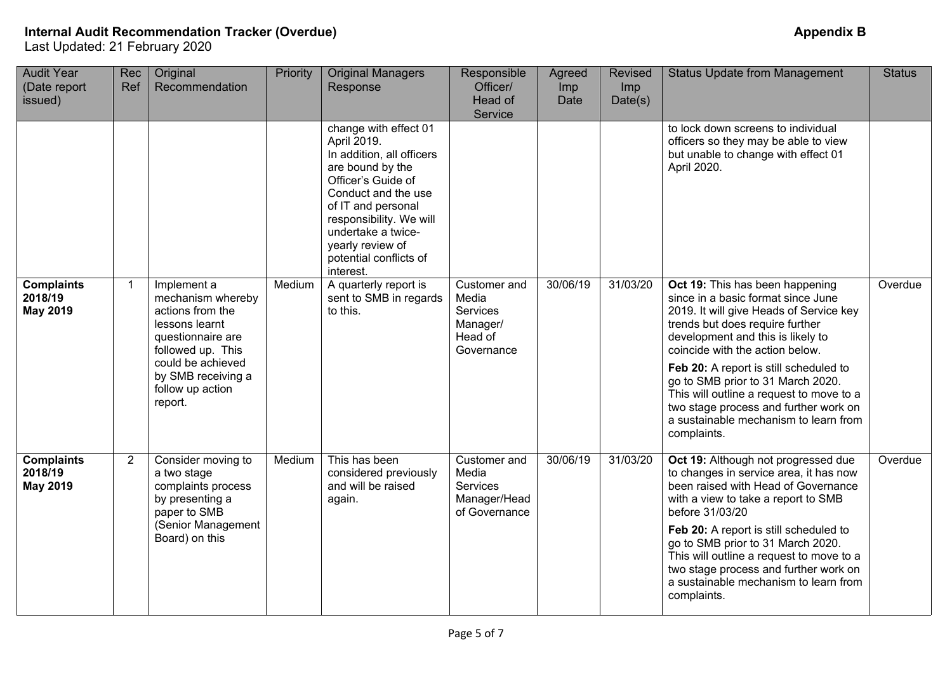| <b>Audit Year</b><br>(Date report<br>issued)    | Rec<br>Ref     | Original<br>Recommendation                                                                                                                                                                 | Priority | <b>Original Managers</b><br>Response                                                                                                                                                                                                                                 | Responsible<br>Officer/<br>Head of<br>Service                                 | Agreed<br>Imp<br>Date | <b>Revised</b><br>Imp<br>Date(s) | <b>Status Update from Management</b>                                                                                                                                                                                                                                                                                                                                                                                                                    | <b>Status</b> |
|-------------------------------------------------|----------------|--------------------------------------------------------------------------------------------------------------------------------------------------------------------------------------------|----------|----------------------------------------------------------------------------------------------------------------------------------------------------------------------------------------------------------------------------------------------------------------------|-------------------------------------------------------------------------------|-----------------------|----------------------------------|---------------------------------------------------------------------------------------------------------------------------------------------------------------------------------------------------------------------------------------------------------------------------------------------------------------------------------------------------------------------------------------------------------------------------------------------------------|---------------|
|                                                 |                |                                                                                                                                                                                            |          | change with effect 01<br>April 2019.<br>In addition, all officers<br>are bound by the<br>Officer's Guide of<br>Conduct and the use<br>of IT and personal<br>responsibility. We will<br>undertake a twice-<br>yearly review of<br>potential conflicts of<br>interest. |                                                                               |                       |                                  | to lock down screens to individual<br>officers so they may be able to view<br>but unable to change with effect 01<br>April 2020.                                                                                                                                                                                                                                                                                                                        |               |
| <b>Complaints</b><br>2018/19<br><b>May 2019</b> | $\mathbf{1}$   | Implement a<br>mechanism whereby<br>actions from the<br>lessons learnt<br>questionnaire are<br>followed up. This<br>could be achieved<br>by SMB receiving a<br>follow up action<br>report. | Medium   | A quarterly report is<br>sent to SMB in regards<br>to this.                                                                                                                                                                                                          | Customer and<br>Media<br><b>Services</b><br>Manager/<br>Head of<br>Governance | 30/06/19              | 31/03/20                         | Oct 19: This has been happening<br>since in a basic format since June<br>2019. It will give Heads of Service key<br>trends but does require further<br>development and this is likely to<br>coincide with the action below.<br>Feb 20: A report is still scheduled to<br>go to SMB prior to 31 March 2020.<br>This will outline a request to move to a<br>two stage process and further work on<br>a sustainable mechanism to learn from<br>complaints. | Overdue       |
| <b>Complaints</b><br>2018/19<br><b>May 2019</b> | $\overline{2}$ | Consider moving to<br>a two stage<br>complaints process<br>by presenting a<br>paper to SMB<br>(Senior Management<br>Board) on this                                                         | Medium   | This has been<br>considered previously<br>and will be raised<br>again.                                                                                                                                                                                               | Customer and<br>Media<br>Services<br>Manager/Head<br>of Governance            | 30/06/19              | 31/03/20                         | Oct 19: Although not progressed due<br>to changes in service area, it has now<br>been raised with Head of Governance<br>with a view to take a report to SMB<br>before 31/03/20<br>Feb 20: A report is still scheduled to<br>go to SMB prior to 31 March 2020.<br>This will outline a request to move to a<br>two stage process and further work on<br>a sustainable mechanism to learn from<br>complaints.                                              | Overdue       |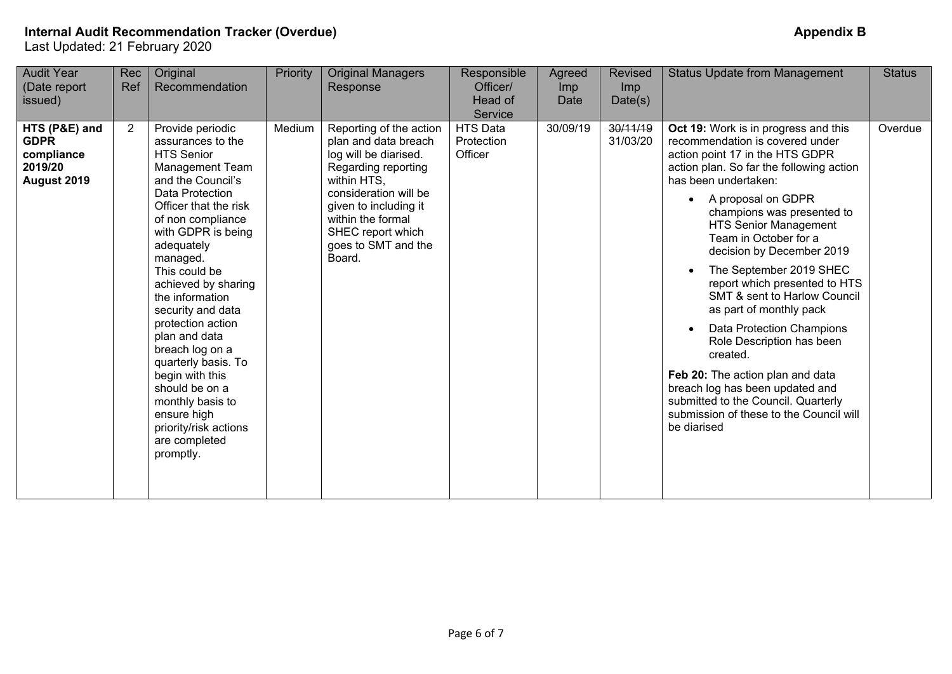| <b>Appendix B</b> |  |
|-------------------|--|
|-------------------|--|

| <b>Audit Year</b><br>(Date report<br>issued)                         | Rec<br>Ref     | Original<br>Recommendation                                                                                                                                                                                                                                                                                                                                                                                                                                                                                         | Priority | <b>Original Managers</b><br>Response                                                                                                                                                                                                        | Responsible<br>Officer/<br>Head of<br>Service | Agreed<br>Imp<br>Date | <b>Revised</b><br><i>Imp</i><br>Date(s) | <b>Status Update from Management</b>                                                                                                                                                                                                                                                                                                                                                                                                                                                                                                                                                                                                                                                                     | <b>Status</b> |
|----------------------------------------------------------------------|----------------|--------------------------------------------------------------------------------------------------------------------------------------------------------------------------------------------------------------------------------------------------------------------------------------------------------------------------------------------------------------------------------------------------------------------------------------------------------------------------------------------------------------------|----------|---------------------------------------------------------------------------------------------------------------------------------------------------------------------------------------------------------------------------------------------|-----------------------------------------------|-----------------------|-----------------------------------------|----------------------------------------------------------------------------------------------------------------------------------------------------------------------------------------------------------------------------------------------------------------------------------------------------------------------------------------------------------------------------------------------------------------------------------------------------------------------------------------------------------------------------------------------------------------------------------------------------------------------------------------------------------------------------------------------------------|---------------|
| HTS (P&E) and<br><b>GDPR</b><br>compliance<br>2019/20<br>August 2019 | $\overline{2}$ | Provide periodic<br>assurances to the<br><b>HTS Senior</b><br>Management Team<br>and the Council's<br>Data Protection<br>Officer that the risk<br>of non compliance<br>with GDPR is being<br>adequately<br>managed.<br>This could be<br>achieved by sharing<br>the information<br>security and data<br>protection action<br>plan and data<br>breach log on a<br>quarterly basis. To<br>begin with this<br>should be on a<br>monthly basis to<br>ensure high<br>priority/risk actions<br>are completed<br>promptly. | Medium   | Reporting of the action<br>plan and data breach<br>log will be diarised.<br>Regarding reporting<br>within HTS,<br>consideration will be<br>given to including it<br>within the formal<br>SHEC report which<br>goes to SMT and the<br>Board. | <b>HTS Data</b><br>Protection<br>Officer      | 30/09/19              | 30/11/19<br>31/03/20                    | Oct 19: Work is in progress and this<br>recommendation is covered under<br>action point 17 in the HTS GDPR<br>action plan. So far the following action<br>has been undertaken:<br>A proposal on GDPR<br>champions was presented to<br><b>HTS Senior Management</b><br>Team in October for a<br>decision by December 2019<br>The September 2019 SHEC<br>report which presented to HTS<br><b>SMT &amp; sent to Harlow Council</b><br>as part of monthly pack<br>Data Protection Champions<br>Role Description has been<br>created.<br>Feb 20: The action plan and data<br>breach log has been updated and<br>submitted to the Council. Quarterly<br>submission of these to the Council will<br>be diarised | Overdue       |